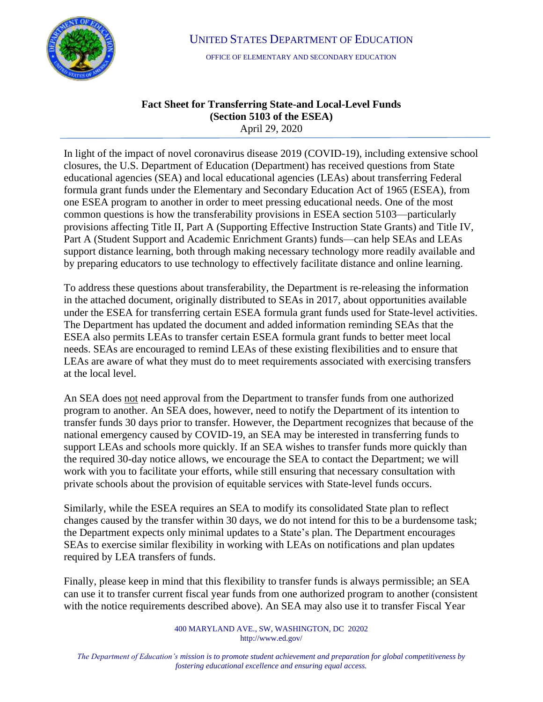

UNITED STATES DEPARTMENT OF EDUCATION

OFFICE OF ELEMENTARY AND SECONDARY EDUCATION

## **Fact Sheet for Transferring State-and Local-Level Funds (Section 5103 of the ESEA)**  April 29, 2020

In light of the impact of novel coronavirus disease 2019 (COVID-19), including extensive school closures, the U.S. Department of Education (Department) has received questions from State educational agencies (SEA) and local educational agencies (LEAs) about transferring Federal formula grant funds under the Elementary and Secondary Education Act of 1965 (ESEA), from one ESEA program to another in order to meet pressing educational needs. One of the most common questions is how the transferability provisions in ESEA section 5103—particularly provisions affecting Title II, Part A (Supporting Effective Instruction State Grants) and Title IV, Part A (Student Support and Academic Enrichment Grants) funds—can help SEAs and LEAs support distance learning, both through making necessary technology more readily available and by preparing educators to use technology to effectively facilitate distance and online learning.

To address these questions about transferability, the Department is re-releasing the information in the attached document, originally distributed to SEAs in 2017, about opportunities available under the ESEA for transferring certain ESEA formula grant funds used for State-level activities. The Department has updated the document and added information reminding SEAs that the ESEA also permits LEAs to transfer certain ESEA formula grant funds to better meet local needs. SEAs are encouraged to remind LEAs of these existing flexibilities and to ensure that LEAs are aware of what they must do to meet requirements associated with exercising transfers at the local level.

An SEA does not need approval from the Department to transfer funds from one authorized program to another. An SEA does, however, need to notify the Department of its intention to transfer funds 30 days prior to transfer. However, the Department recognizes that because of the national emergency caused by COVID-19, an SEA may be interested in transferring funds to support LEAs and schools more quickly. If an SEA wishes to transfer funds more quickly than the required 30-day notice allows, we encourage the SEA to contact the Department; we will work with you to facilitate your efforts, while still ensuring that necessary consultation with private schools about the provision of equitable services with State-level funds occurs.

Similarly, while the ESEA requires an SEA to modify its consolidated State plan to reflect changes caused by the transfer within 30 days, we do not intend for this to be a burdensome task; the Department expects only minimal updates to a State's plan. The Department encourages SEAs to exercise similar flexibility in working with LEAs on notifications and plan updates required by LEA transfers of funds.

Finally, please keep in mind that this flexibility to transfer funds is always permissible; an SEA can use it to transfer current fiscal year funds from one authorized program to another (consistent with the notice requirements described above). An SEA may also use it to transfer Fiscal Year

> 400 MARYLAND AVE., SW, WASHINGTON, DC 20202 http://www.ed.gov/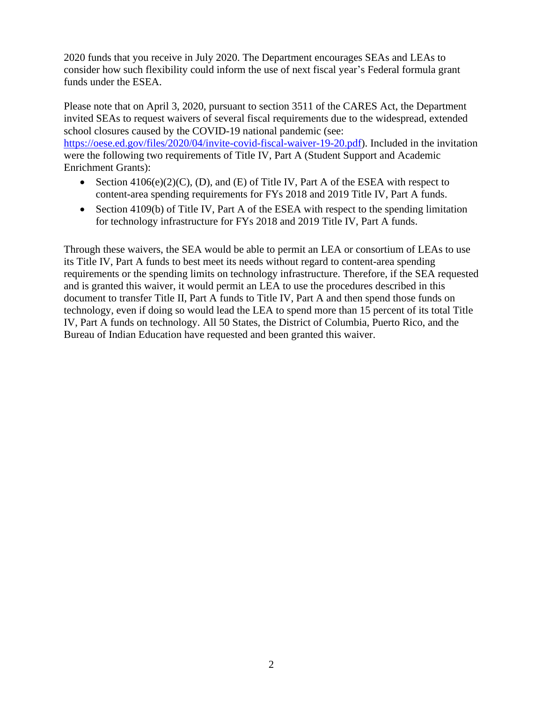2020 funds that you receive in July 2020. The Department encourages SEAs and LEAs to consider how such flexibility could inform the use of next fiscal year's Federal formula grant funds under the ESEA.

Please note that on April 3, 2020, pursuant to section 3511 of the CARES Act, the Department invited SEAs to request waivers of several fiscal requirements due to the widespread, extended school closures caused by the COVID-19 national pandemic (see: [https://oese.ed.gov/files/2020/04/invite-covid-fiscal-waiver-19-20.pdf\)](https://oese.ed.gov/files/2020/04/invite-covid-fiscal-waiver-19-20.pdf). Included in the invitation were the following two requirements of Title IV, Part A (Student Support and Academic Enrichment Grants):

- Section  $4106(e)(2)(C)$ , (D), and (E) of Title IV, Part A of the ESEA with respect to content-area spending requirements for FYs 2018 and 2019 Title IV, Part A funds.
- Section 4109(b) of Title IV, Part A of the ESEA with respect to the spending limitation for technology infrastructure for FYs 2018 and 2019 Title IV, Part A funds.

Through these waivers, the SEA would be able to permit an LEA or consortium of LEAs to use its Title IV, Part A funds to best meet its needs without regard to content-area spending requirements or the spending limits on technology infrastructure. Therefore, if the SEA requested and is granted this waiver, it would permit an LEA to use the procedures described in this document to transfer Title II, Part A funds to Title IV, Part A and then spend those funds on technology, even if doing so would lead the LEA to spend more than 15 percent of its total Title IV, Part A funds on technology. All 50 States, the District of Columbia, Puerto Rico, and the Bureau of Indian Education have requested and been granted this waiver.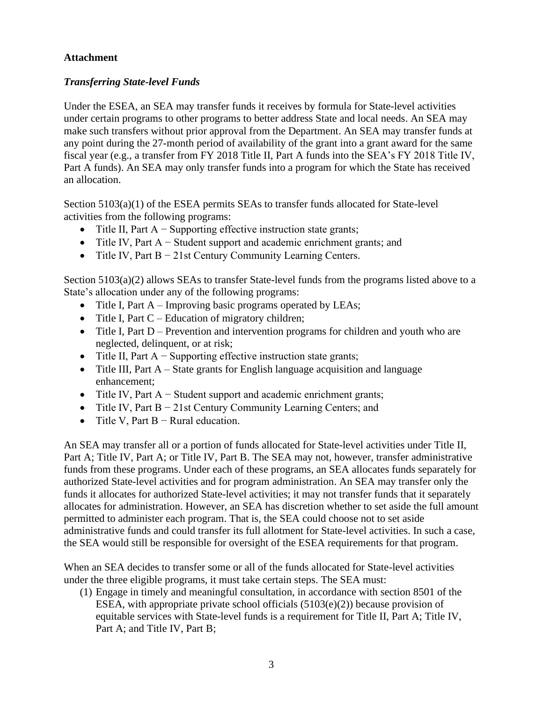## **Attachment**

## *Transferring State-level Funds*

Under the ESEA, an SEA may transfer funds it receives by formula for State-level activities under certain programs to other programs to better address State and local needs. An SEA may make such transfers without prior approval from the Department. An SEA may transfer funds at any point during the 27-month period of availability of the grant into a grant award for the same fiscal year (e.g., a transfer from FY 2018 Title II, Part A funds into the SEA's FY 2018 Title IV, Part A funds). An SEA may only transfer funds into a program for which the State has received an allocation.

Section 5103(a)(1) of the ESEA permits SEAs to transfer funds allocated for State-level activities from the following programs:

- Title II, Part A − Supporting effective instruction state grants;
- Title IV, Part A − Student support and academic enrichment grants; and
- Title IV, Part B − 21st Century Community Learning Centers.

Section 5103(a)(2) allows SEAs to transfer State-level funds from the programs listed above to a State's allocation under any of the following programs:

- Title I, Part A Improving basic programs operated by LEAs;
- Title I, Part  $C$  Education of migratory children;
- Title I, Part D Prevention and intervention programs for children and youth who are neglected, delinquent, or at risk;
- Title II, Part  $A -$  Supporting effective instruction state grants;
- Title III, Part A State grants for English language acquisition and language enhancement;
- Title IV, Part A − Student support and academic enrichment grants;
- Title IV, Part B − 21st Century Community Learning Centers; and
- Title V, Part B − Rural education.

An SEA may transfer all or a portion of funds allocated for State-level activities under Title II, Part A; Title IV, Part A; or Title IV, Part B. The SEA may not, however, transfer administrative funds from these programs. Under each of these programs, an SEA allocates funds separately for authorized State-level activities and for program administration. An SEA may transfer only the funds it allocates for authorized State-level activities; it may not transfer funds that it separately allocates for administration. However, an SEA has discretion whether to set aside the full amount permitted to administer each program. That is, the SEA could choose not to set aside administrative funds and could transfer its full allotment for State-level activities. In such a case, the SEA would still be responsible for oversight of the ESEA requirements for that program.

When an SEA decides to transfer some or all of the funds allocated for State-level activities under the three eligible programs, it must take certain steps. The SEA must:

(1) Engage in timely and meaningful consultation, in accordance with section 8501 of the ESEA, with appropriate private school officials  $(5103(e)(2))$  because provision of equitable services with State-level funds is a requirement for Title II, Part A; Title IV, Part A; and Title IV, Part B;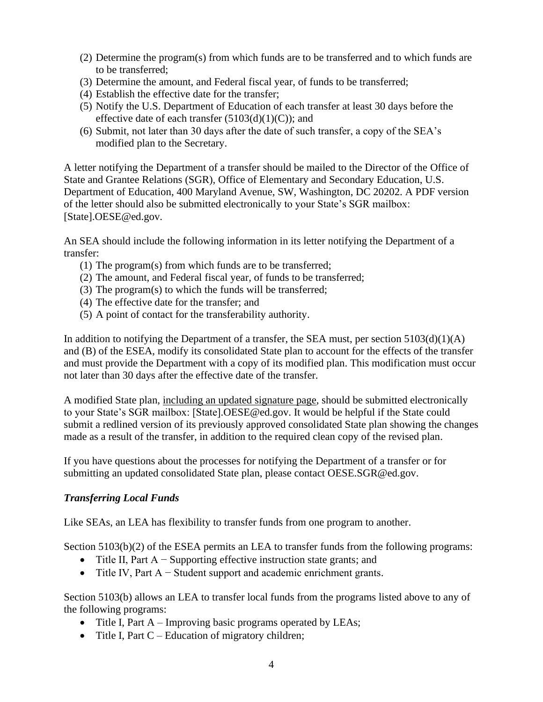- (2) Determine the program(s) from which funds are to be transferred and to which funds are to be transferred;
- (3) Determine the amount, and Federal fiscal year, of funds to be transferred;
- (4) Establish the effective date for the transfer;
- (5) Notify the U.S. Department of Education of each transfer at least 30 days before the effective date of each transfer  $(5103(d)(1)(C))$ ; and
- (6) Submit, not later than 30 days after the date of such transfer, a copy of the SEA's modified plan to the Secretary.

A letter notifying the Department of a transfer should be mailed to the Director of the Office of State and Grantee Relations (SGR), Office of Elementary and Secondary Education, U.S. Department of Education, 400 Maryland Avenue, SW, Washington, DC 20202. A PDF version of the letter should also be submitted electronically to your State's SGR mailbox: [State].OESE@ed.gov.

An SEA should include the following information in its letter notifying the Department of a transfer:

- (1) The program(s) from which funds are to be transferred;
- (2) The amount, and Federal fiscal year, of funds to be transferred;
- (3) The program(s) to which the funds will be transferred;
- (4) The effective date for the transfer; and
- (5) A point of contact for the transferability authority.

In addition to notifying the Department of a transfer, the SEA must, per section  $5103(d)(1)(A)$ and (B) of the ESEA, modify its consolidated State plan to account for the effects of the transfer and must provide the Department with a copy of its modified plan. This modification must occur not later than 30 days after the effective date of the transfer*.* 

A modified State plan, including an updated signature page, should be submitted electronically to your State's SGR mailbox: [State].OESE@ed.gov. It would be helpful if the State could submit a redlined version of its previously approved consolidated State plan showing the changes made as a result of the transfer, in addition to the required clean copy of the revised plan.

If you have questions about the processes for notifying the Department of a transfer or for submitting an updated consolidated State plan, please contact OESE.SGR@ed.gov.

## *Transferring Local Funds*

Like SEAs, an LEA has flexibility to transfer funds from one program to another.

Section 5103(b)(2) of the ESEA permits an LEA to transfer funds from the following programs:

- Title II, Part A − Supporting effective instruction state grants; and
- Title IV, Part A − Student support and academic enrichment grants.

Section 5103(b) allows an LEA to transfer local funds from the programs listed above to any of the following programs:

- Title I, Part A Improving basic programs operated by LEAs;
- Title I, Part  $C$  Education of migratory children;